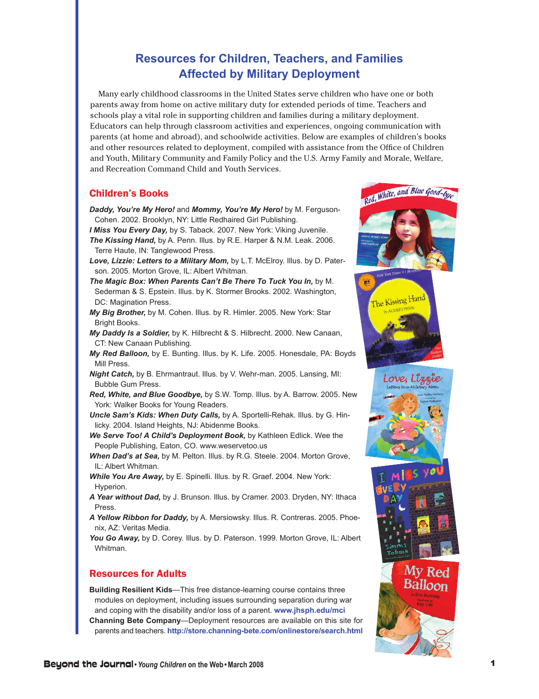## **Resources for Children, Teachers, and Families Affected by Military Deployment**

 Many early childhood classrooms in the United States serve children who have one or both parents away from home on active military duty for extended periods of time. Teachers and schools play a vital role in supporting children and families during a military deployment. Educators can help through classroom activities and experiences, ongoing communication with parents (at home and abroad), and schoolwide activities. Below are examples of children's books and other resources related to deployment, compiled with assistance from the Office of Children and Youth, Military Community and Family Policy and the U.S. Army Family and Morale, Welfare, and Recreation Command Child and Youth Services.

## Children's Books

- *Daddy, You're My Hero!* and *Mommy, You're My Hero!* by M. Ferguson-Cohen. 2002. Brooklyn, NY: Little Redhaired Girl Publishing.
- *I Miss You Every Day,* by S. Taback. 2007. New York: Viking Juvenile. *The Kissing Hand,* by A. Penn. Illus. by R.E. Harper & N.M. Leak. 2006. Terre Haute, IN: Tanglewood Press.
- *Love, Lizzie: Letters to a Military Mom,* by L.T. McElroy. Illus. by D. Paterson. 2005. Morton Grove, IL: Albert Whitman.
- The Magic Box: When Parents Can't Be There To Tuck You In, by M. Sederman & S. Epstein. Illus. by K. Stormer Brooks. 2002. Washington, DC: Magination Press.
- *My Big Brother,* by M. Cohen. Illus. by R. Himler. 2005. New York: Star Bright Books.
- *My Daddy Is a Soldier,* by K. Hilbrecht & S. Hilbrecht. 2000. New Canaan, CT: New Canaan Publishing.
- *My Red Balloon,* by E. Bunting. Illus. by K. Life. 2005. Honesdale, PA: Boyds Mill Press.
- *Night Catch,* by B. Ehrmantraut. Illus. by V. Wehr-man. 2005. Lansing, MI: Bubble Gum Press.
- *Red, White, and Blue Goodbye,* by S.W. Tomp. Illus. by A. Barrow. 2005. New York: Walker Books for Young Readers.
- *Uncle Sam's Kids: When Duty Calls,* by A. Sportelli-Rehak. Illus. by G. Hinlicky. 2004. Island Heights, NJ: Abidenme Books.
- *We Serve Too! A Child's Deployment Book,* by Kathleen Edlick. Wee the People Publishing, Eaton, CO. www.weservetoo.us
- *When Dad's at Sea,* by M. Pelton. Illus. by R.G. Steele. 2004. Morton Grove, IL: Albert Whitman.
- *While You Are Away,* by E. Spinelli. Illus. by R. Graef. 2004. New York: Hyperion.
- *A Year without Dad,* by J. Brunson. Illus. by Cramer. 2003. Dryden, NY: Ithaca Press.
- *A Yellow Ribbon for Daddy,* by A. Mersiowsky. Illus. R. Contreras. 2005. Phoenix, AZ: Veritas Media.

You Go Away, by D. Corey. Illus. by D. Paterson. 1999. Morton Grove, IL: Albert Whitman.

## Resources for Adults

**Building Resilient Kids**—This free distance-learning course contains three modules on deployment, including issues surrounding separation during war and coping with the disability and/or loss of a parent. **www.jhsph.edu/mci Channing Bete Company**—Deployment resources are available on this site for parents and teachers. **http://store.channing-bete.com/onlinestore/search.html**